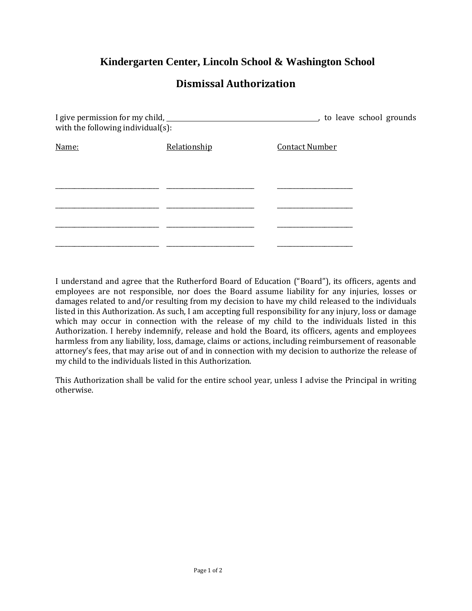## **Kindergarten Center, Lincoln School & Washington School**

## **Dismissal Authorization**

| with the following individual(s): |              | to leave school grounds |
|-----------------------------------|--------------|-------------------------|
| Name:                             | Relationship | <b>Contact Number</b>   |
|                                   |              |                         |
|                                   |              |                         |
|                                   |              |                         |
|                                   |              |                         |
|                                   |              |                         |
|                                   |              |                         |

I understand and agree that the Rutherford Board of Education ("Board"), its officers, agents and employees are not responsible, nor does the Board assume liability for any injuries, losses or damages related to and/or resulting from my decision to have my child released to the individuals listed in this Authorization. As such, I am accepting full responsibility for any injury, loss or damage which may occur in connection with the release of my child to the individuals listed in this Authorization. I hereby indemnify, release and hold the Board, its officers, agents and employees harmless from any liability, loss, damage, claims or actions, including reimbursement of reasonable attorney's fees, that may arise out of and in connection with my decision to authorize the release of my child to the individuals listed in this Authorization.

This Authorization shall be valid for the entire school year, unless I advise the Principal in writing otherwise.